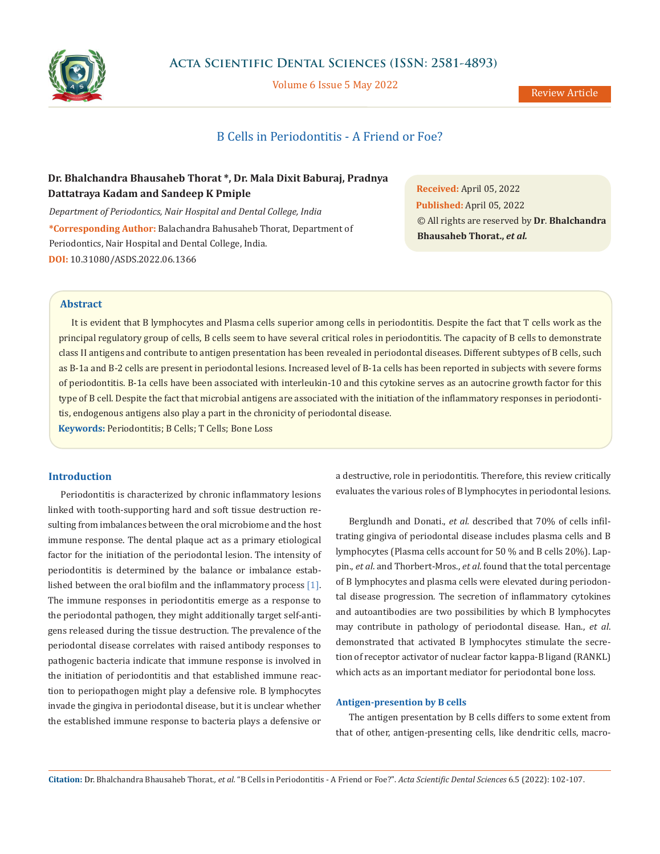

Volume 6 Issue 5 May 2022

# B Cells in Periodontitis - A Friend or Foe?

## **Dr. Bhalchandra Bhausaheb Thorat \*, Dr. Mala Dixit Baburaj, Pradnya Dattatraya Kadam and Sandeep K Pmiple**

*Department of Periodontics, Nair Hospital and Dental College, India* **\*Corresponding Author:** Balachandra Bahusaheb Thorat, Department of Periodontics, Nair Hospital and Dental College, India. **DOI:** [10.31080/ASDS.2022.06.1366](https://actascientific.com/ASDS/pdf/ASDS-06-1366.pdf)

**Received:** April 05, 2022 **Published:** April 05, 2022 © All rights are reserved by **Dr**. **Bhalchandra Bhausaheb Thorat.,** *et al.*

### **Abstract**

It is evident that B lymphocytes and Plasma cells superior among cells in periodontitis. Despite the fact that T cells work as the principal regulatory group of cells, B cells seem to have several critical roles in periodontitis. The capacity of B cells to demonstrate class II antigens and contribute to antigen presentation has been revealed in periodontal diseases. Different subtypes of B cells, such as B-1a and B-2 cells are present in periodontal lesions. Increased level of B-1a cells has been reported in subjects with severe forms of periodontitis. B-1a cells have been associated with interleukin-10 and this cytokine serves as an autocrine growth factor for this type of B cell. Despite the fact that microbial antigens are associated with the initiation of the inflammatory responses in periodontitis, endogenous antigens also play a part in the chronicity of periodontal disease.

**Keywords:** Periodontitis; B Cells; T Cells; Bone Loss

### **Introduction**

Periodontitis is characterized by chronic inflammatory lesions linked with tooth-supporting hard and soft tissue destruction resulting from imbalances between the oral microbiome and the host immune response. The dental plaque act as a primary etiological factor for the initiation of the periodontal lesion. The intensity of periodontitis is determined by the balance or imbalance established between the oral biofilm and the inflammatory process [1]. The immune responses in periodontitis emerge as a response to the periodontal pathogen, they might additionally target self-antigens released during the tissue destruction. The prevalence of the periodontal disease correlates with raised antibody responses to pathogenic bacteria indicate that immune response is involved in the initiation of periodontitis and that established immune reaction to periopathogen might play a defensive role. B lymphocytes invade the gingiva in periodontal disease, but it is unclear whether the established immune response to bacteria plays a defensive or a destructive, role in periodontitis. Therefore, this review critically evaluates the various roles of B lymphocytes in periodontal lesions.

Berglundh and Donati., *et al.* described that 70% of cells infiltrating gingiva of periodontal disease includes plasma cells and B lymphocytes (Plasma cells account for 50 % and B cells 20%). Lappin., *et al*. and Thorbert-Mros., *et al*. found that the total percentage of B lymphocytes and plasma cells were elevated during periodontal disease progression. The secretion of inflammatory cytokines and autoantibodies are two possibilities by which B lymphocytes may contribute in pathology of periodontal disease. Han., *et al*. demonstrated that activated B lymphocytes stimulate the secretion of receptor activator of nuclear factor kappa-B ligand (RANKL) which acts as an important mediator for periodontal bone loss.

#### **Antigen-presention by B cells**

The antigen presentation by B cells differs to some extent from that of other, antigen-presenting cells, like dendritic cells, macro-

**Citation:** Dr. Bhalchandra Bhausaheb Thorat*., et al.* "B Cells in Periodontitis - A Friend or Foe?". *Acta Scientific Dental Sciences* 6.5 (2022): 102-107.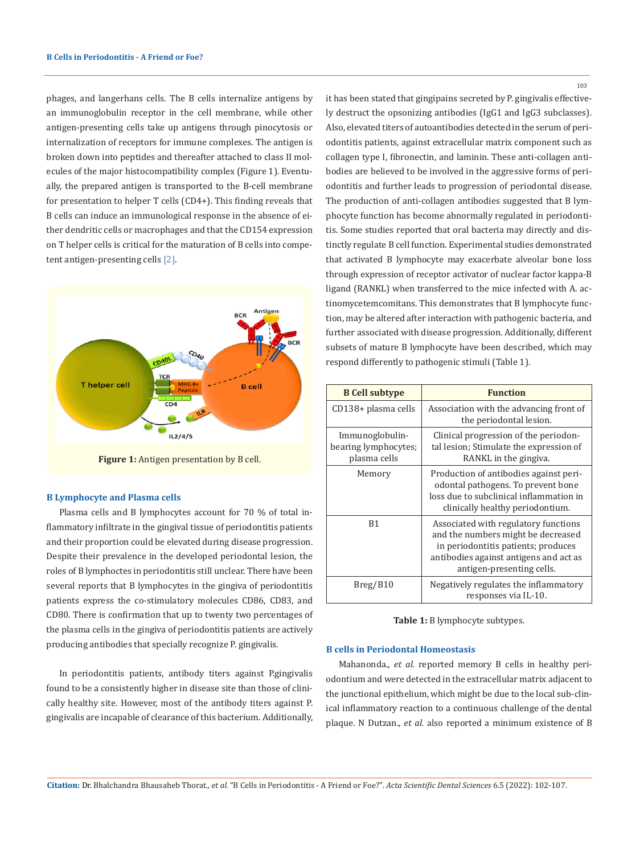phages, and langerhans cells. The B cells internalize antigens by an immunoglobulin receptor in the cell membrane, while other antigen-presenting cells take up antigens through pinocytosis or internalization of receptors for immune complexes. The antigen is broken down into peptides and thereafter attached to class II molecules of the major histocompatibility complex (Figure 1). Eventually, the prepared antigen is transported to the B-cell membrane for presentation to helper T cells (CD4+). This finding reveals that B cells can induce an immunological response in the absence of either dendritic cells or macrophages and that the CD154 expression on T helper cells is critical for the maturation of B cells into competent antigen-presenting cells [2].



Figure 1: Antigen presentation by B cell.

#### **B Lymphocyte and Plasma cells**

Plasma cells and B lymphocytes account for 70 % of total inflammatory infiltrate in the gingival tissue of periodontitis patients and their proportion could be elevated during disease progression. Despite their prevalence in the developed periodontal lesion, the roles of B lymphoctes in periodontitis still unclear. There have been several reports that B lymphocytes in the gingiva of periodontitis patients express the co-stimulatory molecules CD86, CD83, and CD80. There is confirmation that up to twenty two percentages of the plasma cells in the gingiva of periodontitis patients are actively producing antibodies that specially recognize P. gingivalis.

In periodontitis patients, antibody titers against P.gingivalis found to be a consistently higher in disease site than those of clinically healthy site. However, most of the antibody titers against P. gingivalis are incapable of clearance of this bacterium. Additionally, it has been stated that gingipains secreted by P. gingivalis effectively destruct the opsonizing antibodies (IgG1 and IgG3 subclasses). Also, elevated titers of autoantibodies detected in the serum of periodontitis patients, against extracellular matrix component such as collagen type I, fibronectin, and laminin. These anti-collagen antibodies are believed to be involved in the aggressive forms of periodontitis and further leads to progression of periodontal disease. The production of anti-collagen antibodies suggested that B lymphocyte function has become abnormally regulated in periodontitis. Some studies reported that oral bacteria may directly and distinctly regulate B cell function. Experimental studies demonstrated that activated B lymphocyte may exacerbate alveolar bone loss through expression of receptor activator of nuclear factor kappa-B ligand (RANKL) when transferred to the mice infected with A. actinomycetemcomitans. This demonstrates that B lymphocyte function, may be altered after interaction with pathogenic bacteria, and further associated with disease progression. Additionally, different subsets of mature B lymphocyte have been described, which may respond differently to pathogenic stimuli (Table 1).

| <b>B</b> Cell subtype                                   | <b>Function</b>                                                                                                                                                                          |
|---------------------------------------------------------|------------------------------------------------------------------------------------------------------------------------------------------------------------------------------------------|
| CD138+ plasma cells                                     | Association with the advancing front of<br>the periodontal lesion.                                                                                                                       |
| Immunoglobulin-<br>bearing lymphocytes;<br>plasma cells | Clinical progression of the periodon-<br>tal lesion; Stimulate the expression of<br>RANKL in the gingiva.                                                                                |
| Memory                                                  | Production of antibodies against peri-<br>odontal pathogens. To prevent bone<br>loss due to subclinical inflammation in<br>clinically healthy periodontium.                              |
| B1                                                      | Associated with regulatory functions<br>and the numbers might be decreased<br>in periodontitis patients; produces<br>antibodies against antigens and act as<br>antigen-presenting cells. |
| Breg/B10                                                | Negatively regulates the inflammatory<br>responses via IL-10.                                                                                                                            |

**Table 1:** B lymphocyte subtypes.

#### **B cells in Periodontal Homeostasis**

Mahanonda., *et al.* reported memory B cells in healthy periodontium and were detected in the extracellular matrix adjacent to the junctional epithelium, which might be due to the local sub-clinical inflammatory reaction to a continuous challenge of the dental plaque. N Dutzan., *et al.* also reported a minimum existence of B

103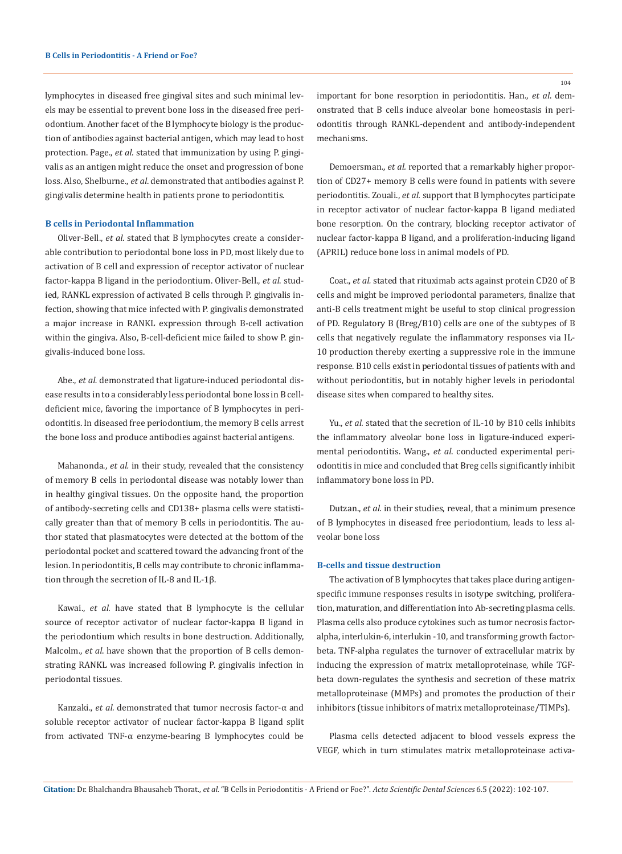lymphocytes in diseased free gingival sites and such minimal levels may be essential to prevent bone loss in the diseased free periodontium. Another facet of the B lymphocyte biology is the production of antibodies against bacterial antigen, which may lead to host protection. Page., *et al.* stated that immunization by using P. gingivalis as an antigen might reduce the onset and progression of bone loss. Also, Shelburne., *et al*. demonstrated that antibodies against P. gingivalis determine health in patients prone to periodontitis.

### **B cells in Periodontal Inflammation**

Oliver-Bell., *et al.* stated that B lymphocytes create a considerable contribution to periodontal bone loss in PD, most likely due to activation of B cell and expression of receptor activator of nuclear factor-kappa Β ligand in the periodontium. Oliver-Bell., *et al*. studied, RANKL expression of activated B cells through P. gingivalis infection, showing that mice infected with P. gingivalis demonstrated a major increase in RANKL expression through B-cell activation within the gingiva. Also, B-cell-deficient mice failed to show P. gingivalis-induced bone loss.

Abe., *et al.* demonstrated that ligature-induced periodontal disease results in to a considerably less periodontal bone loss in B celldeficient mice, favoring the importance of B lymphocytes in periodontitis. In diseased free periodontium, the memory B cells arrest the bone loss and produce antibodies against bacterial antigens.

Mahanonda., *et al.* in their study, revealed that the consistency of memory B cells in periodontal disease was notably lower than in healthy gingival tissues. On the opposite hand, the proportion of antibody-secreting cells and CD138+ plasma cells were statistically greater than that of memory B cells in periodontitis. The author stated that plasmatocytes were detected at the bottom of the periodontal pocket and scattered toward the advancing front of the lesion. In periodontitis, B cells may contribute to chronic inflammation through the secretion of IL-8 and IL-1β.

Kawai., *et al.* have stated that B lymphocyte is the cellular source of receptor activator of nuclear factor-kappa Β ligand in the periodontium which results in bone destruction. Additionally, Malcolm., *et al*. have shown that the proportion of B cells demonstrating RANKL was increased following P. gingivalis infection in periodontal tissues.

Kanzaki., *et al.* demonstrated that tumor necrosis factor-α and soluble receptor activator of nuclear factor-kappa Β ligand split from activated TNF-α enzyme-bearing B lymphocytes could be 104

important for bone resorption in periodontitis. Han., *et al*. demonstrated that B cells induce alveolar bone homeostasis in periodontitis through RANKL-dependent and antibody-independent mechanisms.

Demoersman., *et al.* reported that a remarkably higher proportion of CD27+ memory B cells were found in patients with severe periodontitis. Zouali., *et al.* support that B lymphocytes participate in receptor activator of nuclear factor-kappa Β ligand mediated bone resorption. On the contrary, blocking receptor activator of nuclear factor-kappa Β ligand, and a proliferation-inducing ligand (APRIL) reduce bone loss in animal models of PD.

Coat., *et al.* stated that rituximab acts against protein CD20 of B cells and might be improved periodontal parameters, finalize that anti-B cells treatment might be useful to stop clinical progression of PD. Regulatory B (Breg/B10) cells are one of the subtypes of B cells that negatively regulate the inflammatory responses via IL-10 production thereby exerting a suppressive role in the immune response. B10 cells exist in periodontal tissues of patients with and without periodontitis, but in notably higher levels in periodontal disease sites when compared to healthy sites.

Yu., *et al.* stated that the secretion of IL-10 by B10 cells inhibits the inflammatory alveolar bone loss in ligature-induced experimental periodontitis. Wang., *et al*. conducted experimental periodontitis in mice and concluded that Breg cells significantly inhibit inflammatory bone loss in PD.

Dutzan., *et al.* in their studies, reveal, that a minimum presence of B lymphocytes in diseased free periodontium, leads to less alveolar bone loss

### **B-cells and tissue destruction**

The activation of B lymphocytes that takes place during antigenspecific immune responses results in isotype switching, proliferation, maturation, and differentiation into Ab-secreting plasma cells. Plasma cells also produce cytokines such as tumor necrosis factoralpha, interlukin-6, interlukin -10, and transforming growth factorbeta. TNF-alpha regulates the turnover of extracellular matrix by inducing the expression of matrix metalloproteinase, while TGFbeta down-regulates the synthesis and secretion of these matrix metalloproteinase (MMPs) and promotes the production of their inhibitors (tissue inhibitors of matrix metalloproteinase/TIMPs).

Plasma cells detected adjacent to blood vessels express the VEGF, which in turn stimulates matrix metalloproteinase activa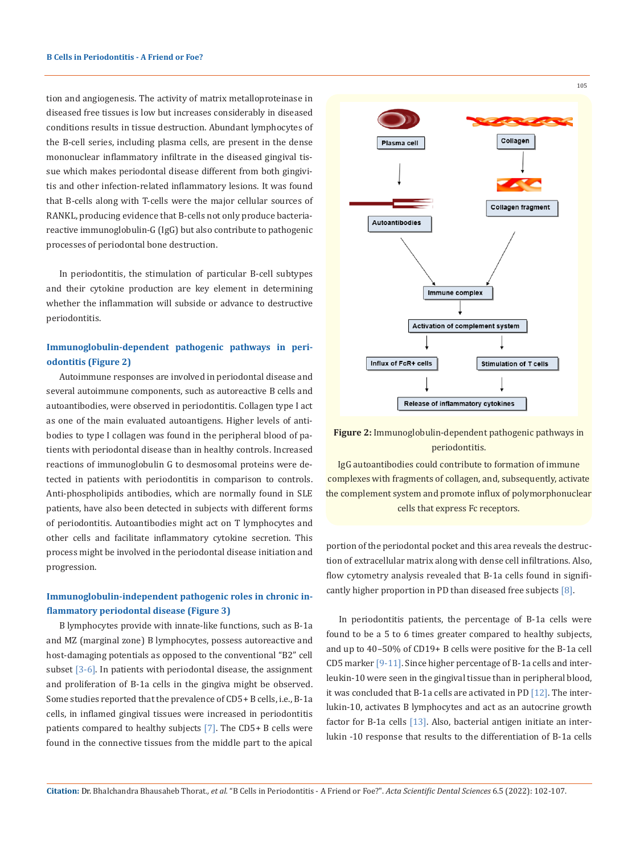tion and angiogenesis. The activity of matrix metalloproteinase in diseased free tissues is low but increases considerably in diseased conditions results in tissue destruction. Abundant lymphocytes of the B-cell series, including plasma cells, are present in the dense mononuclear inflammatory infiltrate in the diseased gingival tissue which makes periodontal disease different from both gingivitis and other infection-related inflammatory lesions. It was found that B-cells along with T-cells were the major cellular sources of RANKL, producing evidence that B-cells not only produce bacteriareactive immunoglobulin-G (IgG) but also contribute to pathogenic processes of periodontal bone destruction.

In periodontitis, the stimulation of particular B-cell subtypes and their cytokine production are key element in determining whether the inflammation will subside or advance to destructive periodontitis.

## **Immunoglobulin-dependent pathogenic pathways in periodontitis (Figure 2)**

Autoimmune responses are involved in periodontal disease and several autoimmune components, such as autoreactive B cells and autoantibodies, were observed in periodontitis. Collagen type I act as one of the main evaluated autoantigens. Higher levels of antibodies to type I collagen was found in the peripheral blood of patients with periodontal disease than in healthy controls. Increased reactions of immunoglobulin G to desmosomal proteins were detected in patients with periodontitis in comparison to controls. Anti-phospholipids antibodies, which are normally found in SLE patients, have also been detected in subjects with different forms of periodontitis. Autoantibodies might act on T lymphocytes and other cells and facilitate inflammatory cytokine secretion. This process might be involved in the periodontal disease initiation and progression.

## **Immunoglobulin-independent pathogenic roles in chronic inflammatory periodontal disease (Figure 3)**

B lymphocytes provide with innate-like functions, such as B-1a and MZ (marginal zone) B lymphocytes, possess autoreactive and host-damaging potentials as opposed to the conventional "B2" cell subset [3-6]. In patients with periodontal disease, the assignment and proliferation of B-1a cells in the gingiva might be observed. Some studies reported that the prevalence of CD5+ B cells, i.e., B-1a cells, in inflamed gingival tissues were increased in periodontitis patients compared to healthy subjects [7]. The CD5+ B cells were found in the connective tissues from the middle part to the apical



## **Figure 2:** Immunoglobulin-dependent pathogenic pathways in periodontitis.

IgG autoantibodies could contribute to formation of immune complexes with fragments of collagen, and, subsequently, activate the complement system and promote influx of polymorphonuclear cells that express Fc receptors.

portion of the periodontal pocket and this area reveals the destruction of extracellular matrix along with dense cell infiltrations. Also, flow cytometry analysis revealed that B-1a cells found in significantly higher proportion in PD than diseased free subjects [8].

In periodontitis patients, the percentage of B-1a cells were found to be a 5 to 6 times greater compared to healthy subjects, and up to 40–50% of CD19+ B cells were positive for the B-1a cell CD5 marker [9-11]. Since higher percentage of B-1a cells and interleukin-10 were seen in the gingival tissue than in peripheral blood, it was concluded that B-1a cells are activated in PD [12]. The interlukin-10, activates B lymphocytes and act as an autocrine growth factor for B-1a cells [13]. Also, bacterial antigen initiate an interlukin -10 response that results to the differentiation of B-1a cells

**Citation:** Dr. Bhalchandra Bhausaheb Thorat*., et al.* "B Cells in Periodontitis - A Friend or Foe?". *Acta Scientific Dental Sciences* 6.5 (2022): 102-107.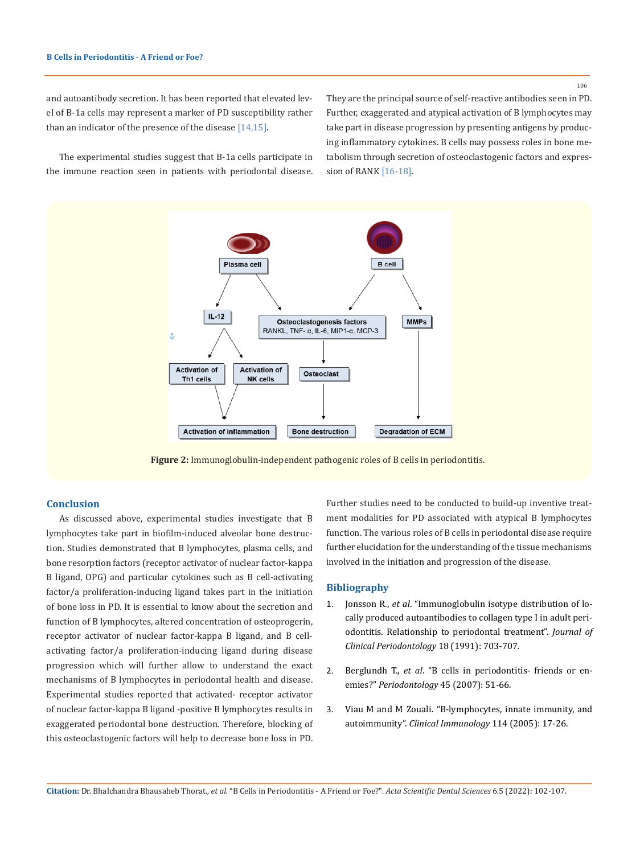#### 106

and autoantibody secretion. It has been reported that elevated level of B-1a cells may represent a marker of PD susceptibility rather than an indicator of the presence of the disease  $[14, 15]$ .

They are the principal source of self-reactive antibodies seen in PD. Further, exaggerated and atypical activation of B lymphocytes may take part in disease progression by presenting antigens by producing inflammatory cytokines. B cells may possess roles in bone metabolism through secretion of osteoclastogenic factors and expression of RANK [16-18].

The experimental studies suggest that B-1a cells participate in the immune reaction seen in patients with periodontal disease.



**Figure 2:** Immunoglobulin-independent pathogenic roles of B cells in periodontitis.

#### **Conclusion**

As discussed above, experimental studies investigate that B lymphocytes take part in biofilm-induced alveolar bone destruction. Studies demonstrated that B lymphocytes, plasma cells, and bone resorption factors (receptor activator of nuclear factor-kappa Β ligand, OPG) and particular cytokines such as B cell-activating factor/a proliferation-inducing ligand takes part in the initiation of bone loss in PD. It is essential to know about the secretion and function of B lymphocytes, altered concentration of osteoprogerin, receptor activator of nuclear factor-kappa Β ligand, and B cellactivating factor/a proliferation-inducing ligand during disease progression which will further allow to understand the exact mechanisms of B lymphocytes in periodontal health and disease. Experimental studies reported that activated- receptor activator of nuclear factor-kappa Β ligand -positive B lymphocytes results in exaggerated periodontal bone destruction. Therefore, blocking of this osteoclastogenic factors will help to decrease bone loss in PD. Further studies need to be conducted to build-up inventive treatment modalities for PD associated with atypical B lymphocytes function. The various roles of B cells in periodontal disease require further elucidation for the understanding of the tissue mechanisms involved in the initiation and progression of the disease.

#### **Bibliography**

- 1. Jonsson R., *et al*[. "Immunoglobulin isotype distribution of lo](https://onlinelibrary.wiley.com/doi/10.1111/j.1600-051X.1991.tb00113.x)[cally produced autoantibodies to collagen type I in adult peri](https://onlinelibrary.wiley.com/doi/10.1111/j.1600-051X.1991.tb00113.x)[odontitis. Relationship to periodontal treatment".](https://onlinelibrary.wiley.com/doi/10.1111/j.1600-051X.1991.tb00113.x) *Journal of [Clinical Periodontology](https://onlinelibrary.wiley.com/doi/10.1111/j.1600-051X.1991.tb00113.x)* 18 (1991): 703-707.
- 2. Berglundh T., *et al*[. "B cells in periodontitis- friends or en](https://pubmed.ncbi.nlm.nih.gov/17850448/)emies?" *[Periodontology](https://pubmed.ncbi.nlm.nih.gov/17850448/)* 45 (2007): 51-66.
- 3. [Viau M and M Zouali. "B-lymphocytes, innate immunity, and](https://pubmed.ncbi.nlm.nih.gov/15596405/) autoimmunity". *[Clinical Immunology](https://pubmed.ncbi.nlm.nih.gov/15596405/)* 114 (2005): 17-26.